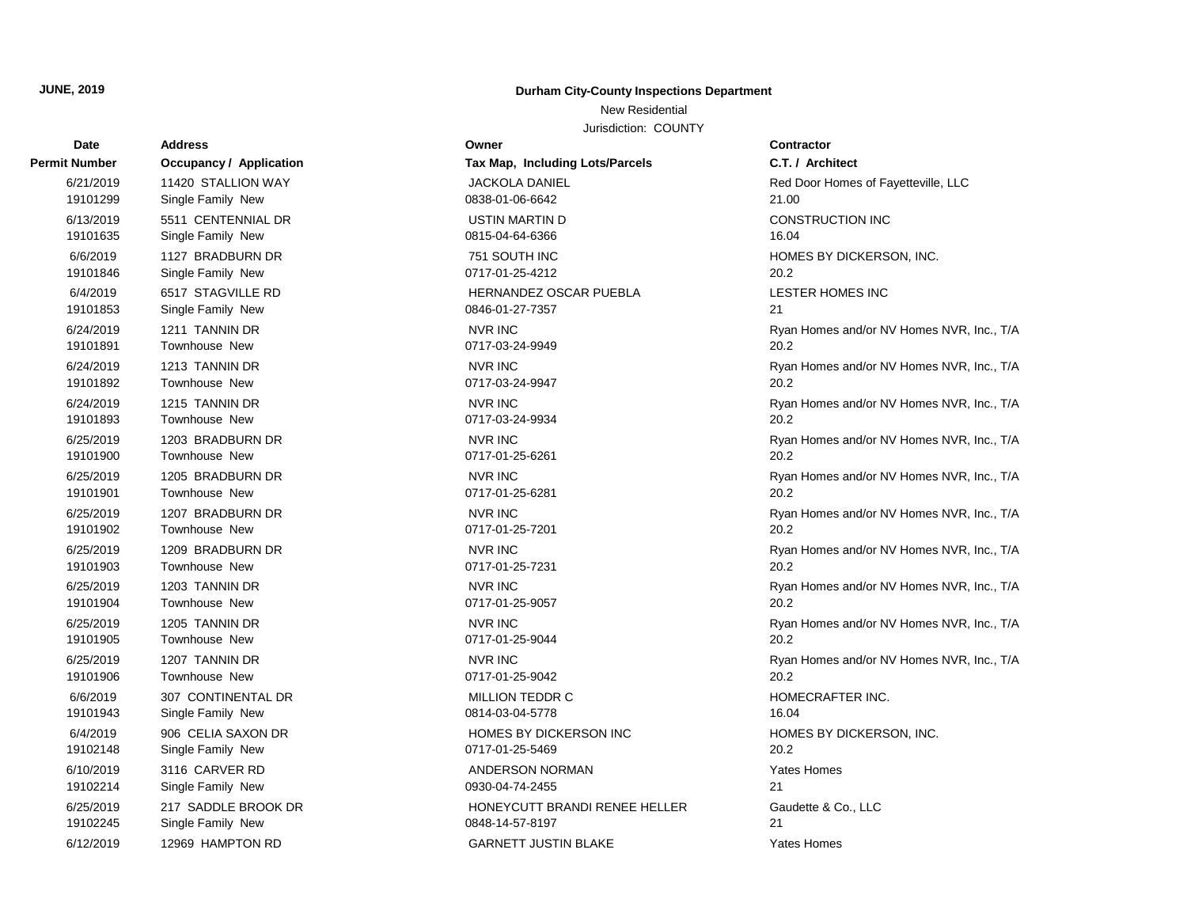## **Date Address Owner Contractor Permit Number Occupancy / Application Tax Map, Including Lots/Parcels** 19101299 Single Family New 0838-01-06-6642 21.00 6/21/2019 11420 STALLION WAY JACKOLA DANIEL Red Door Homes of Fayetteville, LLC 19101635 Single Family New 2015-04-64-6366 16.04 6/13/2019 5511 CENTENNIAL DR USTIN MARTIN D 19101846 Single Family New 0717-01-25-4212 20.2 6/6/2019 1127 BRADBURN DR 751 SOUTH INC HOMES BY DICKERSON, INC. 19101853 Single Family New 0846-01-27-7357 21 6/4/2019 6517 STAGVILLE RD HERNANDEZ OSCAR PUEBLA LESTER HOMES INC 19101891 Townhouse New 0717-03-24-9949 20.2 6/24/2019 1211 TANNIN DR NVR INC NORTH RYAN Homes and/or NV Homes NVR, Inc., T/A 19101892 Townhouse New 0717-03-24-9947 20.2 6/24/2019 1213 TANNIN DR NVR INC NORTH CHEATER OF THE RYAN HOMES AND RYAN HOMES NORTH THE STATE OF THE STATE O 19101893 Townhouse New 0717-03-24-9934 20.2 6/24/2019 1215 TANNIN DR NVR INC NORTH RYAN HOMES AND RYAN HOMES AND RYAN HOMES AND RYAN HOMES NVR, Inc., T/A 19101900 Townhouse New 0717-01-25-6261 20.2 6/25/2019 1203 BRADBURN DR NVR INC NORTH NORTH RYAN HOMES AND RYAN HOMES AND RYAN HOMES NVR, Inc., T/A 19101901 Townhouse New 0717-01-25-6281 20.2 6/25/2019 1205 BRADBURN DR NVR INC NORTH RYAN Homes and/or NV Homes NVR, Inc., T/A 19101902 Townhouse New 0717-01-25-7201 20.2 6/25/2019 1207 BRADBURN DR NVR INC NORTH NO NORTH RYAN HOMES AND RYAN Homes and/or NV Homes NVR, Inc., T/A 19101903 Townhouse New 0717-01-25-7231 20.2 6/25/2019 1209 BRADBURN DR NVR INC NORTH NORTH RYAN HOMES AND RYAN Homes And/or NV Homes NVR, Inc., T/A 19101904 Townhouse New 0717-01-25-9057 20.2 6/25/2019 1203 TANNIN DR NVR INC NORTH RYAN Homes and/or NV Homes NVR, Inc., T/A 19101905 Townhouse New 0717-01-25-9044 20.2 6/25/2019 1205 TANNIN DR NVR INC NORTH RYAN Homes and/or NV Homes NVR, Inc., T/A 19101906 Townhouse New 0717-01-25-9042 20.2 6/25/2019 1207 TANNIN DR NVR INC NORTH STATES IN THE SERVER OF THE STATES OF THE STATES OF THE STATES OF THE STA 19101943 Single Family New 26.04 Single Family New 30814-03-04-5778 6/6/2019 307 CONTINENTAL DR MILLION TEDDR C HOMECRAFTER INC. 19102148 Single Family New 0717-01-25-5469 20.2 6/4/2019 906 CELIA SAXON DR HOMES BY DICKERSON INC HOMES BY DICKERSON, INC. 19102214 Single Family New 0930-04-74-2455 21 6/10/2019 3116 CARVER RD **ANDERSON NORMAN** 6/10/2019 21tes Homes 19102245 Single Family New 0848-14-57-8197 21 6/25/2019 217 SADDLE BROOK DR HONEYCUTT BRANDI RENEE HELLER Gaudette & Co., LLC

## **JUNE, 2019 Durham City-County Inspections Department**

New Residential

Jurisdiction: COUNTY

## 6/12/2019 12969 HAMPTON RD GARNETT JUSTIN BLAKE Yates Homes

**C.T. / Architect**  $\mathsf{Z}$ 1.00 CONSTRUCTION INC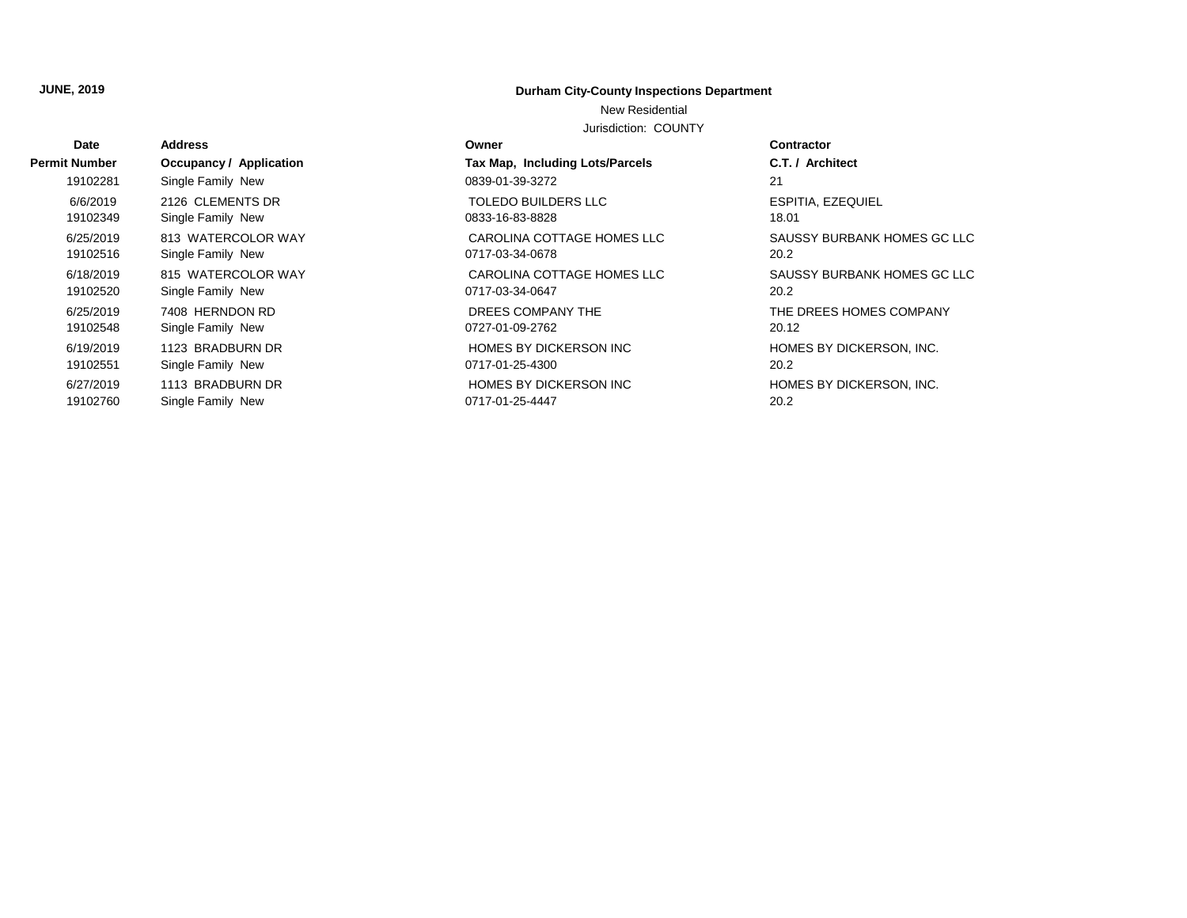## **JUNE, 2019 Durham City-County Inspections Department**

New Residential

Jurisdiction: COUNTY

| <b>Date</b>          | <b>Address</b>          | Owner                           | <b>Contractor</b>           |
|----------------------|-------------------------|---------------------------------|-----------------------------|
| <b>Permit Number</b> | Occupancy / Application | Tax Map, Including Lots/Parcels | C.T. / Architect            |
| 19102281             | Single Family New       | 0839-01-39-3272                 | 21                          |
| 6/6/2019             | 2126 CLEMENTS DR        | <b>TOLEDO BUILDERS LLC</b>      | ESPITIA, EZEQUIEL           |
| 19102349             | Single Family New       | 0833-16-83-8828                 | 18.01                       |
| 6/25/2019            | 813 WATERCOLOR WAY      | CAROLINA COTTAGE HOMES LLC      | SAUSSY BURBANK HOMES GC LLC |
| 19102516             | Single Family New       | 0717-03-34-0678                 | 20.2                        |
| 6/18/2019            | 815 WATERCOLOR WAY      | CAROLINA COTTAGE HOMES LLC      | SAUSSY BURBANK HOMES GC LLC |
| 19102520             | Single Family New       | 0717-03-34-0647                 | 20.2                        |
| 6/25/2019            | 7408 HERNDON RD         | DREES COMPANY THE               | THE DREES HOMES COMPANY     |
| 19102548             | Single Family New       | 0727-01-09-2762                 | 20.12                       |
| 6/19/2019            | 1123 BRADBURN DR        | HOMES BY DICKERSON INC          | HOMES BY DICKERSON, INC.    |
| 19102551             | Single Family New       | 0717-01-25-4300                 | 20.2                        |
| 6/27/2019            | 1113 BRADBURN DR        | <b>HOMES BY DICKERSON INC</b>   | HOMES BY DICKERSON, INC.    |
| 19102760             | Single Family New       | 0717-01-25-4447                 | 20.2                        |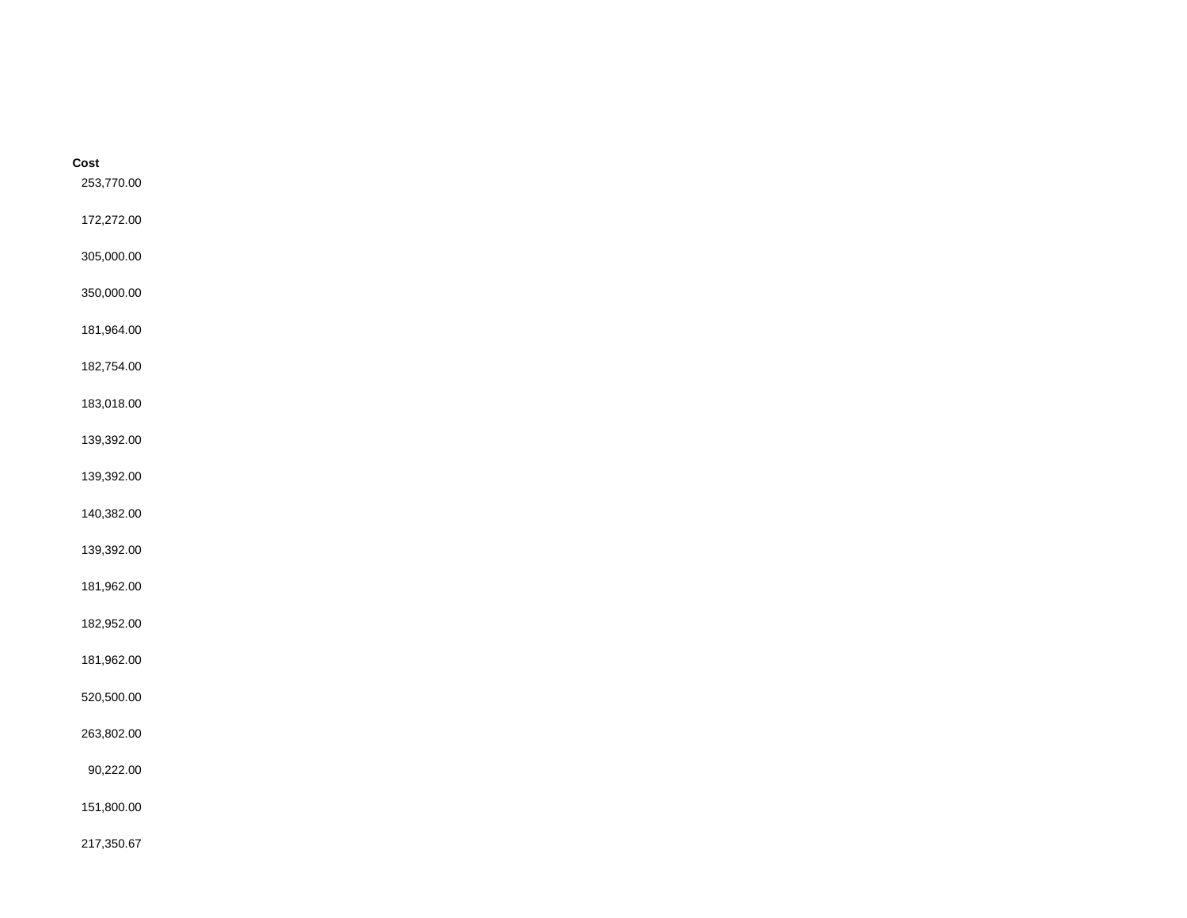| Cost<br>253,770.00 |  |  |
|--------------------|--|--|
| 172,272.00         |  |  |
| 305,000.00         |  |  |
| 350,000.00         |  |  |
| 181,964.00         |  |  |
| 182,754.00         |  |  |
| 183,018.00         |  |  |
| 139,392.00         |  |  |
| 139,392.00         |  |  |
| 140,382.00         |  |  |
| 139,392.00         |  |  |
| 181,962.00         |  |  |
| 182,952.00         |  |  |
| 181,962.00         |  |  |
| 520,500.00         |  |  |
| 263,802.00         |  |  |
| 90,222.00          |  |  |
| 151,800.00         |  |  |
| 217,350.67         |  |  |